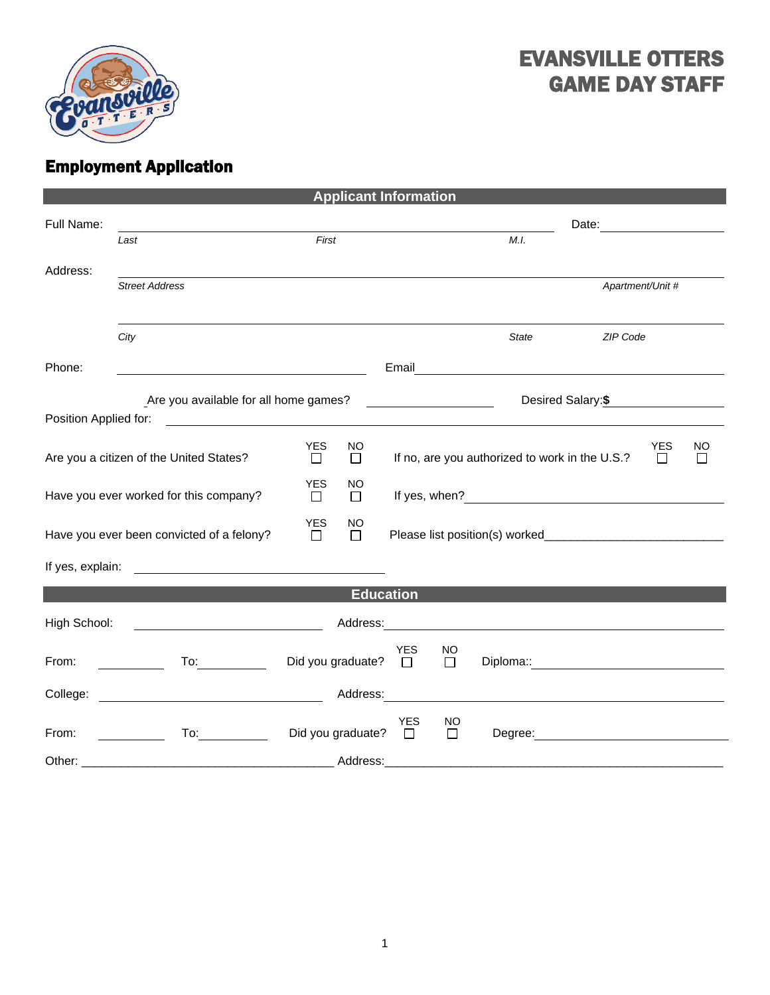

## EVANSVILLE OTTERS GAME DAY STAFF

## Employment Application

| <b>Applicant Information</b>                                                                                                                                                                   |                                                                                                                                                                                                                                |                                      |                                                                             |               |                                                                                                                                                                                                                                      |                                                                          |                  |    |
|------------------------------------------------------------------------------------------------------------------------------------------------------------------------------------------------|--------------------------------------------------------------------------------------------------------------------------------------------------------------------------------------------------------------------------------|--------------------------------------|-----------------------------------------------------------------------------|---------------|--------------------------------------------------------------------------------------------------------------------------------------------------------------------------------------------------------------------------------------|--------------------------------------------------------------------------|------------------|----|
| Full Name:                                                                                                                                                                                     | Last                                                                                                                                                                                                                           | First                                |                                                                             | M.I.          | Date: <u>__________</u>                                                                                                                                                                                                              |                                                                          |                  |    |
| Address:                                                                                                                                                                                       |                                                                                                                                                                                                                                |                                      |                                                                             |               |                                                                                                                                                                                                                                      |                                                                          |                  |    |
|                                                                                                                                                                                                | <b>Street Address</b>                                                                                                                                                                                                          |                                      |                                                                             |               |                                                                                                                                                                                                                                      |                                                                          | Apartment/Unit # |    |
|                                                                                                                                                                                                | City                                                                                                                                                                                                                           |                                      |                                                                             |               | <b>State</b>                                                                                                                                                                                                                         | ZIP Code                                                                 |                  |    |
| Phone:                                                                                                                                                                                         | <u> 2000 - Jan Samuel Barbara, poeta estable</u>                                                                                                                                                                               |                                      |                                                                             |               |                                                                                                                                                                                                                                      |                                                                          |                  |    |
| Are you available for all home games?<br>Desired Salary: \$<br><u> Listen de la componenta</u><br>Position Applied for:<br><u> 1980 - Andrea Station Barbara, amerikan personal (h. 1980).</u> |                                                                                                                                                                                                                                |                                      |                                                                             |               |                                                                                                                                                                                                                                      |                                                                          |                  |    |
| Are you a citizen of the United States?                                                                                                                                                        |                                                                                                                                                                                                                                | YES<br>NO.<br>$\Box$<br>$\Box$       | <b>YES</b><br>If no, are you authorized to work in the U.S.?<br>$\Box$<br>⊔ |               |                                                                                                                                                                                                                                      |                                                                          |                  | NO |
| Have you ever worked for this company?                                                                                                                                                         |                                                                                                                                                                                                                                | <b>YES</b><br>NO<br>$\Box$<br>$\Box$ |                                                                             |               |                                                                                                                                                                                                                                      |                                                                          |                  |    |
| Have you ever been convicted of a felony?                                                                                                                                                      |                                                                                                                                                                                                                                | <b>YES</b><br>NO<br>$\Box$<br>$\Box$ |                                                                             |               |                                                                                                                                                                                                                                      |                                                                          |                  |    |
| If yes, explain:                                                                                                                                                                               | <u> 1980 - Andrea Stadt Britain, fransk politik (</u>                                                                                                                                                                          |                                      |                                                                             |               |                                                                                                                                                                                                                                      |                                                                          |                  |    |
|                                                                                                                                                                                                |                                                                                                                                                                                                                                | <b>Education</b>                     |                                                                             |               |                                                                                                                                                                                                                                      |                                                                          |                  |    |
| High School:                                                                                                                                                                                   |                                                                                                                                                                                                                                | Address:                             |                                                                             |               | <u> 1989 - Andrea State Barbara, amerikan per</u>                                                                                                                                                                                    |                                                                          |                  |    |
| From:                                                                                                                                                                                          | To: the contract of the contract of the contract of the contract of the contract of the contract of the contract of the contract of the contract of the contract of the contract of the contract of the contract of the contra | Did you graduate? $\square$          | <b>YES</b>                                                                  | NO<br>$\Box$  | Diploma:: <u>contract and contract and contract and contract and contract and contract and contract and contract and contract and contract and contract and contract and contract and contract and contract and contract and con</u> |                                                                          |                  |    |
|                                                                                                                                                                                                |                                                                                                                                                                                                                                | Address:                             |                                                                             |               |                                                                                                                                                                                                                                      |                                                                          |                  |    |
| From:                                                                                                                                                                                          | To:_____________<br>$\overline{\phantom{a}}$ and $\overline{\phantom{a}}$ and $\overline{\phantom{a}}$                                                                                                                         | Did you graduate? $\square$          | <b>YES</b>                                                                  | NO.<br>$\Box$ |                                                                                                                                                                                                                                      | Degree: <u>www.community.community.community.community.community.com</u> |                  |    |
|                                                                                                                                                                                                |                                                                                                                                                                                                                                |                                      |                                                                             |               |                                                                                                                                                                                                                                      |                                                                          |                  |    |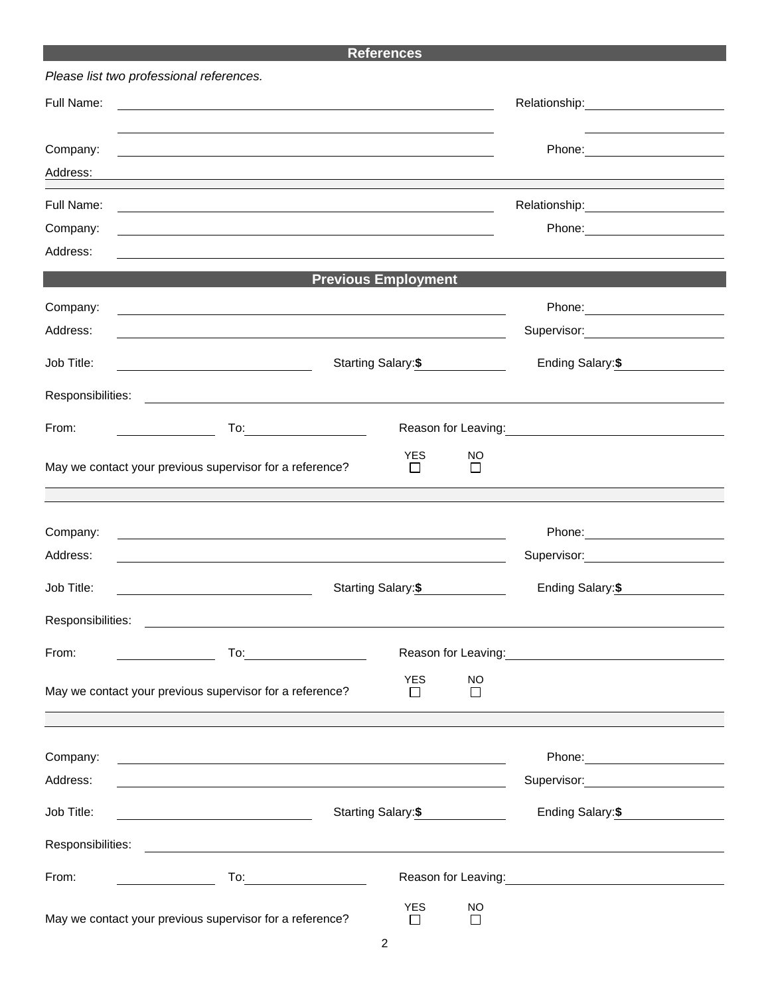## **References**

| Please list two professional references. |                                                                                                                        |                                                                                                                                                                                                                                |                                                                                                               |                                                                                                                 |  |  |  |  |
|------------------------------------------|------------------------------------------------------------------------------------------------------------------------|--------------------------------------------------------------------------------------------------------------------------------------------------------------------------------------------------------------------------------|---------------------------------------------------------------------------------------------------------------|-----------------------------------------------------------------------------------------------------------------|--|--|--|--|
| Full Name:                               | <u> 1989 - Johann Stoff, deutscher Stoffen und der Stoffen und der Stoffen und der Stoffen und der Stoffen und der</u> | Relationship: Network of the state of the state of the state of the state of the state of the state of the state of the state of the state of the state of the state of the state of the state of the state of the state of th |                                                                                                               |                                                                                                                 |  |  |  |  |
| Company:                                 |                                                                                                                        |                                                                                                                                                                                                                                | Phone: 2008 2010 2010 2010 2010 2010 2021 2022 2023 2024 2022 2023 2024 2025 2026 2027 2028 2029 2020 2021 20 |                                                                                                                 |  |  |  |  |
| Address:                                 |                                                                                                                        |                                                                                                                                                                                                                                |                                                                                                               |                                                                                                                 |  |  |  |  |
| Full Name:                               |                                                                                                                        |                                                                                                                                                                                                                                |                                                                                                               | Relationship:<br><u> Relationship:</u>                                                                          |  |  |  |  |
| Company:                                 |                                                                                                                        |                                                                                                                                                                                                                                |                                                                                                               |                                                                                                                 |  |  |  |  |
| Address:                                 |                                                                                                                        |                                                                                                                                                                                                                                |                                                                                                               |                                                                                                                 |  |  |  |  |
|                                          | <b>Previous Employment</b>                                                                                             |                                                                                                                                                                                                                                |                                                                                                               |                                                                                                                 |  |  |  |  |
| Company:                                 | <u> 1989 - Johann Stoff, deutscher Stoffen und der Stoffen und der Stoffen und der Stoffen und der Stoffen und der</u> |                                                                                                                                                                                                                                |                                                                                                               |                                                                                                                 |  |  |  |  |
| Address:                                 |                                                                                                                        |                                                                                                                                                                                                                                |                                                                                                               | Supervisor: Victor Contract Contract Contract Contract Contract Contract Contract Contract Contract Contract Co |  |  |  |  |
| Job Title:                               |                                                                                                                        | Starting Salary:\$                                                                                                                                                                                                             |                                                                                                               |                                                                                                                 |  |  |  |  |
|                                          |                                                                                                                        |                                                                                                                                                                                                                                |                                                                                                               |                                                                                                                 |  |  |  |  |
| From:                                    | $\overline{\phantom{a}}$ . The contract of $\overline{\phantom{a}}$                                                    |                                                                                                                                                                                                                                |                                                                                                               |                                                                                                                 |  |  |  |  |
|                                          | May we contact your previous supervisor for a reference?                                                               | <b>YES</b><br>$\mathsf{L}$                                                                                                                                                                                                     | <b>NO</b><br>$\Box$                                                                                           |                                                                                                                 |  |  |  |  |
|                                          |                                                                                                                        |                                                                                                                                                                                                                                |                                                                                                               |                                                                                                                 |  |  |  |  |
| Company:                                 | <u> 1989 - Johann Stoff, deutscher Stoffen und der Stoffen und der Stoffen und der Stoffen und der Stoffen und der</u> |                                                                                                                                                                                                                                |                                                                                                               |                                                                                                                 |  |  |  |  |
| Address:                                 |                                                                                                                        |                                                                                                                                                                                                                                |                                                                                                               | Supervisor: Victor Control of Supervisor:                                                                       |  |  |  |  |
| Job Title:                               |                                                                                                                        | Starting Salary:\$                                                                                                                                                                                                             |                                                                                                               | Ending Salary: \$                                                                                               |  |  |  |  |
| Responsibilities:                        |                                                                                                                        |                                                                                                                                                                                                                                |                                                                                                               |                                                                                                                 |  |  |  |  |
| From:                                    |                                                                                                                        |                                                                                                                                                                                                                                |                                                                                                               | Reason for Leaving: Management Control of the Reason for Leaving:                                               |  |  |  |  |
|                                          | May we contact your previous supervisor for a reference?                                                               | <b>YES</b><br>$\Box$                                                                                                                                                                                                           | <b>NO</b><br>$\Box$                                                                                           |                                                                                                                 |  |  |  |  |
| Company:                                 | <u> 1989 - Johann Stein, marwolaethau a bhann an t-Amhain ann an t-Amhain an t-Amhain an t-Amhain an t-Amhain an </u>  |                                                                                                                                                                                                                                |                                                                                                               | Phone: _________________________                                                                                |  |  |  |  |
| Address:                                 | <u> 1980 - Andrea Station Barbara, amerikan basar dan berasal dan berasal dalam berasal dalam berasal dalam bera</u>   |                                                                                                                                                                                                                                |                                                                                                               | Supervisor: Victor Control of The Control of The Control of The Control of The Control of The Control of The Co |  |  |  |  |
| Job Title:                               | <u> 2008 - Andrea Britain, amerikansk politik (</u>                                                                    | Starting Salary: \$                                                                                                                                                                                                            |                                                                                                               |                                                                                                                 |  |  |  |  |
| Responsibilities:                        | <u> 1989 - Andrea Stadt Britain, amerikansk politik (d. 1989)</u>                                                      |                                                                                                                                                                                                                                |                                                                                                               |                                                                                                                 |  |  |  |  |
| From:                                    |                                                                                                                        |                                                                                                                                                                                                                                |                                                                                                               |                                                                                                                 |  |  |  |  |
|                                          | May we contact your previous supervisor for a reference?                                                               | <b>YES</b><br>$\Box$                                                                                                                                                                                                           | NO<br>$\Box$                                                                                                  |                                                                                                                 |  |  |  |  |